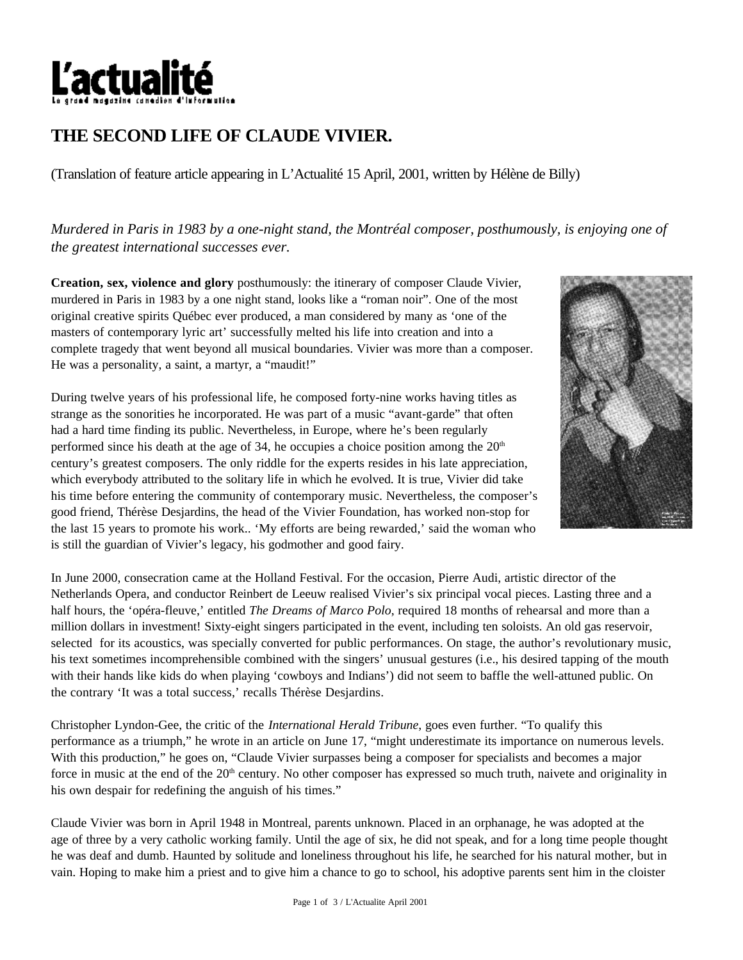

## **THE SECOND LIFE OF CLAUDE VIVIER.**

(Translation of feature article appearing in L'Actualité 15 April, 2001, written by Hélène de Billy)

*Murdered in Paris in 1983 by a one-night stand, the Montréal composer, posthumously, is enjoying one of the greatest international successes ever.*

**Creation, sex, violence and glory** posthumously: the itinerary of composer Claude Vivier, murdered in Paris in 1983 by a one night stand, looks like a "roman noir". One of the most original creative spirits Québec ever produced, a man considered by many as 'one of the masters of contemporary lyric art' successfully melted his life into creation and into a complete tragedy that went beyond all musical boundaries. Vivier was more than a composer. He was a personality, a saint, a martyr, a "maudit!"

During twelve years of his professional life, he composed forty-nine works having titles as strange as the sonorities he incorporated. He was part of a music "avant-garde" that often had a hard time finding its public. Nevertheless, in Europe, where he's been regularly performed since his death at the age of 34, he occupies a choice position among the  $20<sup>th</sup>$ century's greatest composers. The only riddle for the experts resides in his late appreciation, which everybody attributed to the solitary life in which he evolved. It is true, Vivier did take his time before entering the community of contemporary music. Nevertheless, the composer's good friend, Thérèse Desjardins, the head of the Vivier Foundation, has worked non-stop for the last 15 years to promote his work.. 'My efforts are being rewarded,' said the woman who is still the guardian of Vivier's legacy, his godmother and good fairy.



In June 2000, consecration came at the Holland Festival. For the occasion, Pierre Audi, artistic director of the Netherlands Opera, and conductor Reinbert de Leeuw realised Vivier's six principal vocal pieces. Lasting three and a half hours, the 'opéra-fleuve,' entitled *The Dreams of Marco Polo*, required 18 months of rehearsal and more than a million dollars in investment! Sixty-eight singers participated in the event, including ten soloists. An old gas reservoir, selected for its acoustics, was specially converted for public performances. On stage, the author's revolutionary music, his text sometimes incomprehensible combined with the singers' unusual gestures (i.e., his desired tapping of the mouth with their hands like kids do when playing 'cowboys and Indians') did not seem to baffle the well-attuned public. On the contrary 'It was a total success,' recalls Thérèse Desjardins.

Christopher Lyndon-Gee, the critic of the *International Herald Tribune*, goes even further. "To qualify this performance as a triumph," he wrote in an article on June 17, "might underestimate its importance on numerous levels. With this production," he goes on, "Claude Vivier surpasses being a composer for specialists and becomes a major force in music at the end of the  $20<sup>th</sup>$  century. No other composer has expressed so much truth, naivete and originality in his own despair for redefining the anguish of his times."

Claude Vivier was born in April 1948 in Montreal, parents unknown. Placed in an orphanage, he was adopted at the age of three by a very catholic working family. Until the age of six, he did not speak, and for a long time people thought he was deaf and dumb. Haunted by solitude and loneliness throughout his life, he searched for his natural mother, but in vain. Hoping to make him a priest and to give him a chance to go to school, his adoptive parents sent him in the cloister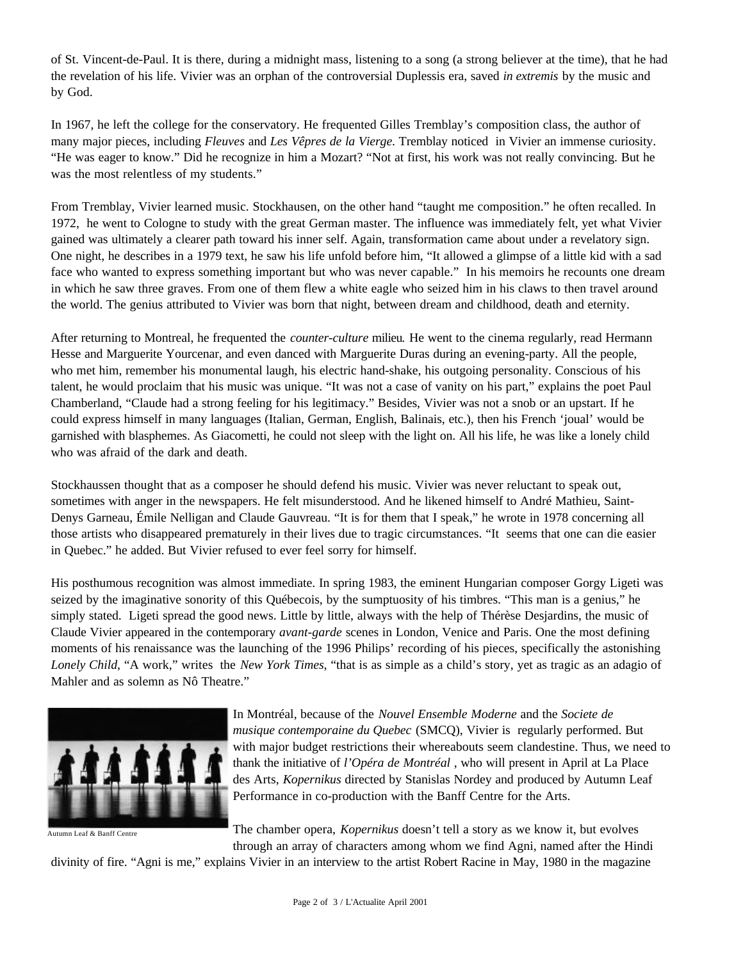of St. Vincent-de-Paul. It is there, during a midnight mass, listening to a song (a strong believer at the time), that he had the revelation of his life. Vivier was an orphan of the controversial Duplessis era, saved *in extremis* by the music and by God.

In 1967, he left the college for the conservatory. He frequented Gilles Tremblay's composition class, the author of many major pieces, including *Fleuves* and *Les Vêpres de la Vierge*. Tremblay noticed in Vivier an immense curiosity. "He was eager to know." Did he recognize in him a Mozart? "Not at first, his work was not really convincing. But he was the most relentless of my students."

From Tremblay, Vivier learned music. Stockhausen, on the other hand "taught me composition." he often recalled. In 1972, he went to Cologne to study with the great German master. The influence was immediately felt, yet what Vivier gained was ultimately a clearer path toward his inner self. Again, transformation came about under a revelatory sign. One night, he describes in a 1979 text, he saw his life unfold before him, "It allowed a glimpse of a little kid with a sad face who wanted to express something important but who was never capable." In his memoirs he recounts one dream in which he saw three graves. From one of them flew a white eagle who seized him in his claws to then travel around the world. The genius attributed to Vivier was born that night, between dream and childhood, death and eternity.

After returning to Montreal, he frequented the *counter-culture* milieu*.* He went to the cinema regularly, read Hermann Hesse and Marguerite Yourcenar, and even danced with Marguerite Duras during an evening-party. All the people, who met him, remember his monumental laugh, his electric hand-shake, his outgoing personality. Conscious of his talent, he would proclaim that his music was unique. "It was not a case of vanity on his part," explains the poet Paul Chamberland, "Claude had a strong feeling for his legitimacy." Besides, Vivier was not a snob or an upstart. If he could express himself in many languages (Italian, German, English, Balinais, etc.), then his French 'joual' would be garnished with blasphemes. As Giacometti, he could not sleep with the light on. All his life, he was like a lonely child who was afraid of the dark and death.

Stockhaussen thought that as a composer he should defend his music. Vivier was never reluctant to speak out, sometimes with anger in the newspapers. He felt misunderstood. And he likened himself to André Mathieu, Saint-Denys Garneau, Émile Nelligan and Claude Gauvreau. "It is for them that I speak," he wrote in 1978 concerning all those artists who disappeared prematurely in their lives due to tragic circumstances. "It seems that one can die easier in Quebec." he added. But Vivier refused to ever feel sorry for himself.

His posthumous recognition was almost immediate. In spring 1983, the eminent Hungarian composer Gorgy Ligeti was seized by the imaginative sonority of this Québecois, by the sumptuosity of his timbres. "This man is a genius," he simply stated. Ligeti spread the good news. Little by little, always with the help of Thérèse Desjardins, the music of Claude Vivier appeared in the contemporary *avant-garde* scenes in London, Venice and Paris. One the most defining moments of his renaissance was the launching of the 1996 Philips' recording of his pieces, specifically the astonishing *Lonely Child*, "A work," writes the *New York Times*, "that is as simple as a child's story, yet as tragic as an adagio of Mahler and as solemn as Nô Theatre."



Autumn Leaf & Banff Centre

In Montréal, because of the *Nouvel Ensemble Moderne* and the *Societe de musique contemporaine du Quebec* (SMCQ), Vivier is regularly performed. But with major budget restrictions their whereabouts seem clandestine. Thus, we need to thank the initiative of *l'Opéra de Montréal* , who will present in April at La Place des Arts, *Kopernikus* directed by Stanislas Nordey and produced by Autumn Leaf Performance in co-production with the Banff Centre for the Arts.

The chamber opera, *Kopernikus* doesn't tell a story as we know it, but evolves through an array of characters among whom we find Agni, named after the Hindi

divinity of fire. "Agni is me," explains Vivier in an interview to the artist Robert Racine in May, 1980 in the magazine